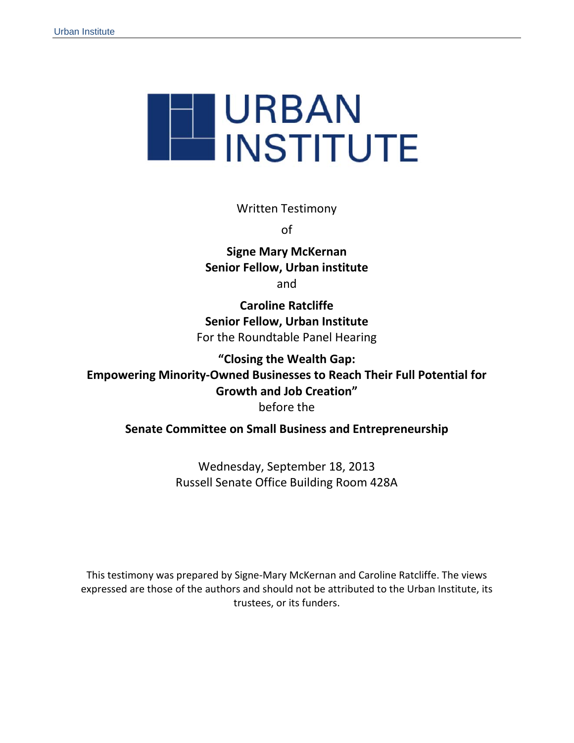# **THE URBAN<br>INSTITUTE**

Written Testimony

of

**Signe Mary McKernan Senior Fellow, Urban institute** and

**Caroline Ratcliffe Senior Fellow, Urban Institute** For the Roundtable Panel Hearing

**"Closing the Wealth Gap: Empowering Minority-Owned Businesses to Reach Their Full Potential for Growth and Job Creation"** before the

**Senate Committee on Small Business and Entrepreneurship**

Wednesday, September 18, 2013 Russell Senate Office Building Room 428A

This testimony was prepared by Signe-Mary McKernan and Caroline Ratcliffe. The views expressed are those of the authors and should not be attributed to the Urban Institute, its trustees, or its funders.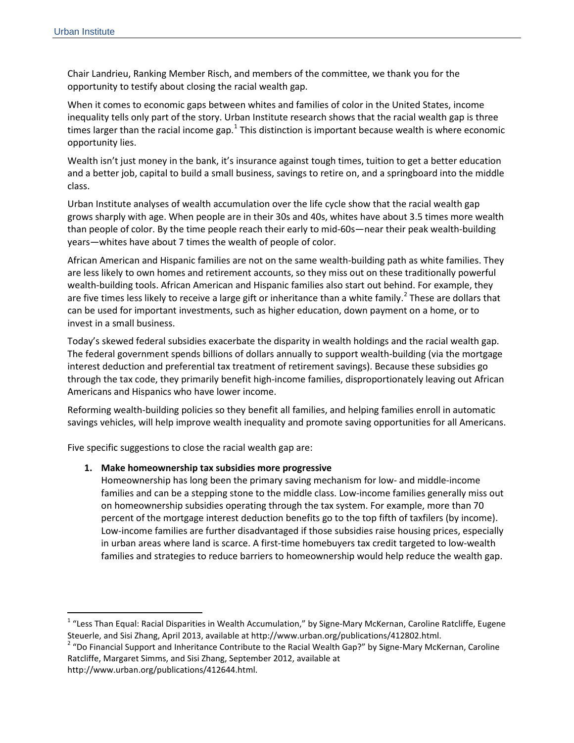Chair Landrieu, Ranking Member Risch, and members of the committee, we thank you for the opportunity to testify about closing the racial wealth gap.

When it comes to economic gaps between whites and families of color in the United States, income inequality tells only part of the story. Urban Institute research shows that the racial wealth gap is three times larger than the racial income gap.<sup>[1](#page-1-0)</sup> This distinction is important because wealth is where economic opportunity lies.

Wealth isn't just money in the bank, it's insurance against tough times, tuition to get a better education and a better job, capital to build a small business, savings to retire on, and a springboard into the middle class.

Urban Institute analyses of wealth accumulation over the life cycle show that the racial wealth gap grows sharply with age. When people are in their 30s and 40s, whites have about 3.5 times more wealth than people of color. By the time people reach their early to mid-60s—near their peak wealth-building years—whites have about 7 times the wealth of people of color.

African American and Hispanic families are not on the same wealth-building path as white families. They are less likely to own homes and retirement accounts, so they miss out on these traditionally powerful wealth-building tools. African American and Hispanic families also start out behind. For example, [they](http://www.urban.org/publications/412644.html)  [are five times less likely to receive a large gift or inheritance than a white family.](http://www.urban.org/publications/412644.html)<sup>[2](#page-1-1)</sup> These are dollars that can be used for important investments, such as higher education, down payment on a home, or to invest in a small business.

Today's skewed federal subsidies exacerbate the disparity in wealth holdings and the racial wealth gap. The federal government spends billions of dollars annually to support wealth-building (via the mortgage interest deduction and preferential tax treatment of retirement savings). Because these subsidies go through the tax code, they primarily benefit high-income families, disproportionately leaving out African Americans and Hispanics who have lower income.

Reforming wealth-building policies so they benefit all families, and helping families enroll in automatic savings vehicles, will help improve wealth inequality and promote saving opportunities for all Americans.

Five specific suggestions to close the racial wealth gap are:

#### **1. Make homeownership tax subsidies more progressive**

Homeownership has long been the primary saving mechanism for low- and middle-income families and can be a stepping stone to the middle class. Low-income families generally miss out on homeownership subsidies operating through the tax system. For example, more than 70 percent of the mortgage interest deduction benefits go to the top fifth of taxfilers (by income). Low-income families are further disadvantaged if those subsidies raise housing prices, especially in urban areas where land is scarce. A first-time homebuyers tax credit targeted to low-wealth families and strategies to reduce barriers to homeownership would help reduce the wealth gap.

 $\overline{a}$ 

<span id="page-1-0"></span><sup>&</sup>lt;sup>1</sup> "Less Than Equal: Racial Disparities in Wealth Accumulation," by Signe-Mary McKernan, Caroline Ratcliffe, Eugene

<span id="page-1-1"></span>Steuerle, and Sisi Zhang, April 2013, available at http://www.urban.org/publications/412802.html.<br><sup>2</sup> "Do Financial Support and Inheritance Contribute to the Racial Wealth Gap?" by Signe-Mary McKernan, Caroline Ratcliffe, Margaret Simms, and Sisi Zhang, September 2012, available at

[http://www.urban.org/publications/412644.html.](http://www.urban.org/publications/412644.html)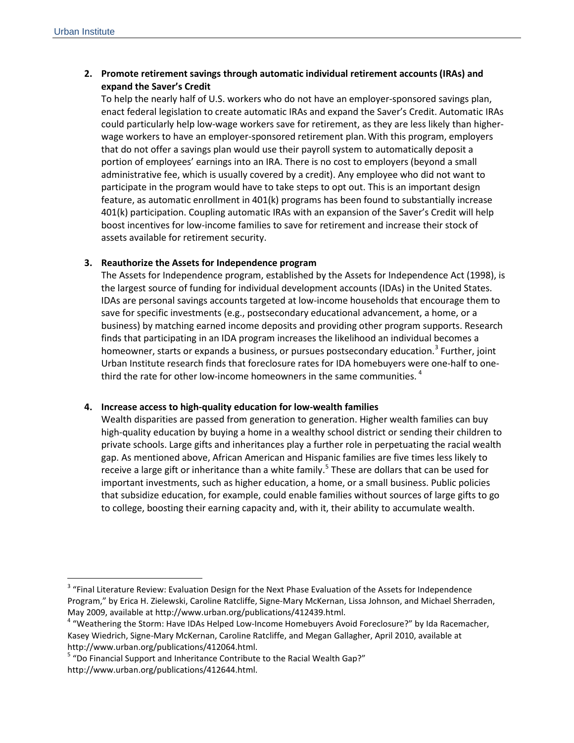$\overline{a}$ 

**2. Promote retirement savings through automatic individual retirement accounts (IRAs) and expand the Saver's Credit**

To help the nearly half of U.S. workers who do not have an employer-sponsored savings plan, enact federal legislation to create automatic IRAs and expand the Saver's Credit. Automatic IRAs could particularly help low-wage workers save for retirement, as they are less likely than higherwage workers to have an employer-sponsored retirement plan.With this program, employers that do not offer a savings plan would use their payroll system to automatically deposit a portion of employees' earnings into an IRA. There is no cost to employers (beyond a small administrative fee, which is usually covered by a credit). Any employee who did not want to participate in the program would have to take steps to opt out. This is an important design feature, as automatic enrollment in 401(k) programs has been found to substantially increase 401(k) participation. Coupling automatic IRAs with an expansion of the Saver's Credit will help boost incentives for low-income families to save for retirement and increase their stock of assets available for retirement security.

#### **3. Reauthorize the Assets for Independence program**

The Assets for Independence program, established by the Assets for Independence Act (1998), is the largest source of funding for individual development accounts (IDAs) in the United States. IDAs are personal savings accounts targeted at low-income households that encourage them to save for specific investments (e.g., postsecondary educational advancement, a home, or a business) by matching earned income deposits and providing other program supports[. Research](http://www.urban.org/uploadedpdf/412439-Assets-for-Independence-Program-Literature-Review.pdf) finds that participating in an IDA program increases the likelihood an individual becomes a homeowner, starts or expands a business, or pursues postsecondary education.<sup>[3](#page-2-0)</sup> Further, joint Urban Institut[e research](http://www.urban.org/uploadedpdf/412064_weathering_the_storm.pdf) finds that foreclosure rates for IDA homebuyers were one-half to one-third the rate for other low-income homeowners in the same communities.<sup>[4](#page-2-1)</sup>

#### **4. Increase access to high-quality education for low-wealth families**

Wealth disparities are passed from generation to generation. Higher wealth families can buy high-quality education by buying a home in a wealthy school district or sending their children to private schools. Large gifts and inheritances play a further role in perpetuating the racial wealth gap. As mentioned above[, African American and Hispanic families are five times less likely to](http://www.urban.org/publications/412644.html)  [receive a large gift or inheritance than a white family.](http://www.urban.org/publications/412644.html)<sup>[5](#page-2-2)</sup> These are dollars that can be used for important investments, such as higher education, a home, or a small business. Public policies that subsidize education, for example, could enable families without sources of large gifts to go to college, boosting their earning capacity and, with it, their ability to accumulate wealth.

<span id="page-2-0"></span><sup>&</sup>lt;sup>3</sup> "Final Literature Review: Evaluation Design for the Next Phase Evaluation of the Assets for Independence Program," by Erica H. Zielewski, Caroline Ratcliffe, Signe-Mary McKernan, Lissa Johnson, and Michael Sherraden, May 2009, available at http://www.urban.org/publications/412439.html.<br><sup>4</sup> "Weathering the Storm: Have IDAs Helped Low-Income Homebuyers Avoid Foreclosure?" by Ida Racemacher,

<span id="page-2-1"></span>Kasey Wiedrich, Signe-Mary McKernan, Caroline Ratcliffe, and Megan Gallagher, April 2010, available at [http://www.urban.org/publications/412064.html.](http://www.urban.org/publications/412064.html)<br><sup>5</sup> "Do Financial Support and Inheritance Contribute to the Racial Wealth Gap?"

<span id="page-2-2"></span>[http://www.urban.org/publications/412644.html.](http://www.urban.org/publications/412644.html)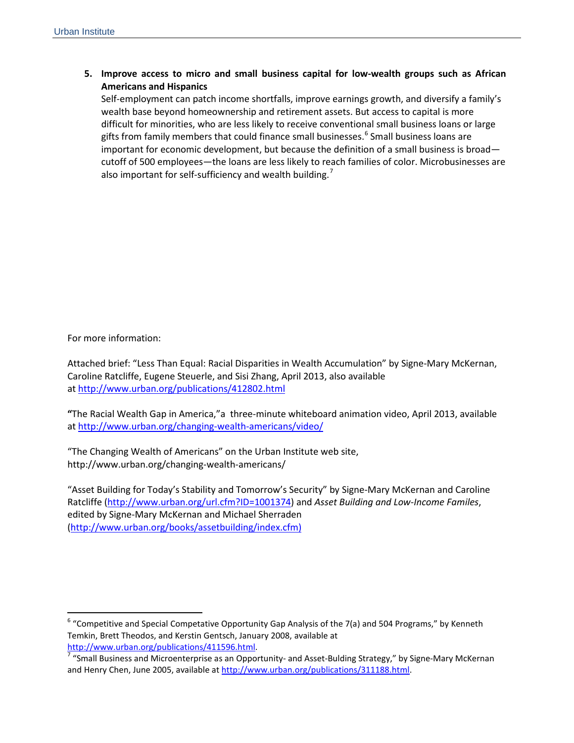**5. Improve access to micro and small business capital for low-wealth groups such as African Americans and Hispanics** 

Self-employment can patch income shortfalls, improve earnings growth, and diversify a family's wealth base beyond homeownership and retirement assets. But access to capital is more difficult for minorities, who are less likely to receive conventional small business loans or large gifts from family members that could finance small businesses.<sup>[6](#page-3-0)</sup> Small business loans are important for economic development, but because the definition of a small business is broad cutoff of 500 employees—the loans are less likely to reach families of color. Microbusinesses are also important for self-sufficiency and wealth building. $\prime$ 

For more information:

 $\overline{a}$ 

Attached brief: "Less Than Equal: Racial Disparities in Wealth Accumulation" by Signe-Mary McKernan, Caroline Ratcliffe, Eugene Steuerle, and Sisi Zhang, April 2013, also available at<http://www.urban.org/publications/412802.html>

**"**The Racial Wealth Gap in America,"a three-minute whiteboard animation video, April 2013, available at<http://www.urban.org/changing-wealth-americans/video/>

"The Changing Wealth of Americans" on the Urban Institute web site, http://www.urban.org/changing-wealth-americans/

"Asset Building for Today's Stability and Tomorrow's Security" by Signe-Mary McKernan and Caroline Ratcliffe [\(http://www.urban.org/url.cfm?ID=1001374\)](http://www.urban.org/url.cfm?ID=1001374) and *Asset Building and Low-Income Familes*, edited by Signe-Mary McKernan and Michael Sherraden [\(http://www.urban.org/books/assetbuilding/index.cfm\)](http://www.urban.org/books/assetbuilding/index.cfm)

<span id="page-3-0"></span> $6$  "Competitive and Special Competative Opportunity Gap Analysis of the 7(a) and 504 Programs," by Kenneth Temkin, Brett Theodos, and Kerstin Gentsch, January 2008, available at http://www.urban.org/publications/411596.html.<br><sup>7</sup> "Small Business and Microenterprise as an Opportunity- and Asset-Bulding Strategy," by Signe-Mary McKernan

<span id="page-3-1"></span>and Henry Chen, June 2005, available a[t http://www.urban.org/publications/311188.html.](http://www.urban.org/publications/311188.html)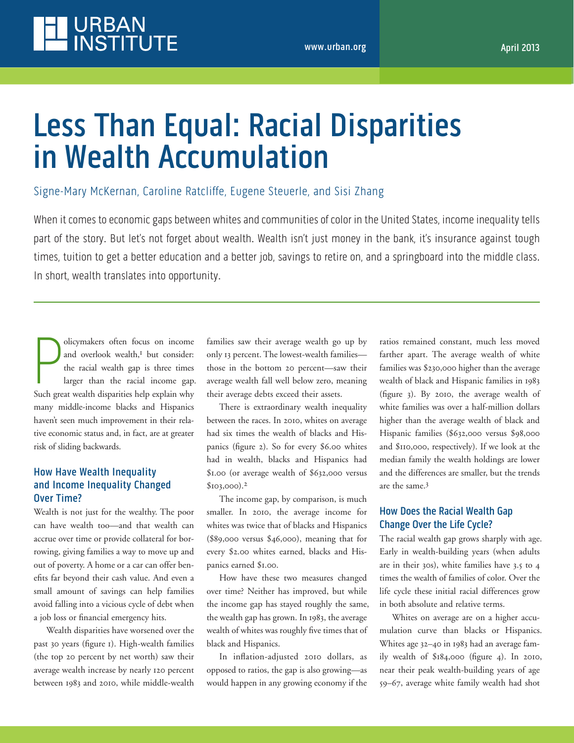

# **Less Than Equal: Racial Disparities in Wealth Accumulation**

### Signe-Mary McKernan, Caroline Ratcliffe, Eugene Steuerle, and Sisi Zhang

When it comes to economic gaps between whites and communities of color in the United States, income inequality tells part of the story. But let's not forget about wealth. Wealth isn't just money in the bank, it's insurance against tough times, tuition to get a better education and a better job, savings to retire on, and a springboard into the middle class. In short, wealth translates into opportunity.

Dolicymakers often focus on income and overlook wealth,<sup>1</sup> but consider:<br>the racial wealth gap is three times<br>larger than the racial income gap<br>Such great wealth disparities help explain why olicymakers often focus on income and overlook wealth, 1 but consider: the racial wealth gap is three times larger than the racial income gap. many middle-income blacks and Hispanics haven't seen much improvement in their relative economic status and, in fact, are at greater risk of sliding backwards.

#### **How Have Wealth Inequality and Income Inequality Changed Over Time?**

Wealth is not just for the wealthy. The poor can have wealth too—and that wealth can accrue over time or provide collateral for borrowing, giving families a way to move up and out of poverty. A home or a car can offer benefits far beyond their cash value. And even a small amount of savings can help families avoid falling into a vicious cycle of debt when a job loss or financial emergency hits.

Wealth disparities have worsened over the past 30 years (figure 1). High-wealth families (the top 20 percent by net worth) saw their average wealth increase by nearly 120 percent between 1983 and 2010, while middle-wealth

families saw their average wealth go up by only 13 percent. The lowest-wealth families those in the bottom 20 percent—saw their average wealth fall well below zero, meaning their average debts exceed their assets.

There is extraordinary wealth inequality between the races. In 2010, whites on average had six times the wealth of blacks and Hispanics (figure 2). So for every \$6.00 whites had in wealth, blacks and Hispanics had \$1.00 (or average wealth of \$632,000 versus \$103,000). 2

The income gap, by comparison, is much smaller. In 2010, the average income for whites was twice that of blacks and Hispanics (\$89,000 versus \$46,000), meaning that for every \$2.00 whites earned, blacks and Hispanics earned \$1.00.

How have these two measures changed over time? Neither has improved, but while the income gap has stayed roughly the same, the wealth gap has grown. In 1983, the average wealth of whites was roughly five times that of black and Hispanics.

In inflation-adjusted 2010 dollars, as opposed to ratios, the gap is also growing—as would happen in any growing economy if the ratios remained constant, much less moved farther apart. The average wealth of white families was \$230,000 higher than the average wealth of black and Hispanic families in 1983 (figure 3). By 2010, the average wealth of white families was over a half-million dollars higher than the average wealth of black and Hispanic families (\$632,000 versus \$98,000 and \$110,000, respectively). If we look at the median family the wealth holdings are lower and the differences are smaller, but the trends are the same. 3

#### **How Does the Racial Wealth Gap Change Over the Life Cycle?**

The racial wealth gap grows sharply with age. Early in wealth-building years (when adults are in their 30s), white families have 3.5 to 4 times the wealth of families of color. Over the life cycle these initial racial differences grow in both absolute and relative terms.

Whites on average are on a higher accumulation curve than blacks or Hispanics. Whites age 32–40 in 1983 had an average family wealth of  $$184,000$  (figure 4). In 2010, near their peak wealth-building years of age 59–67, average white family wealth had shot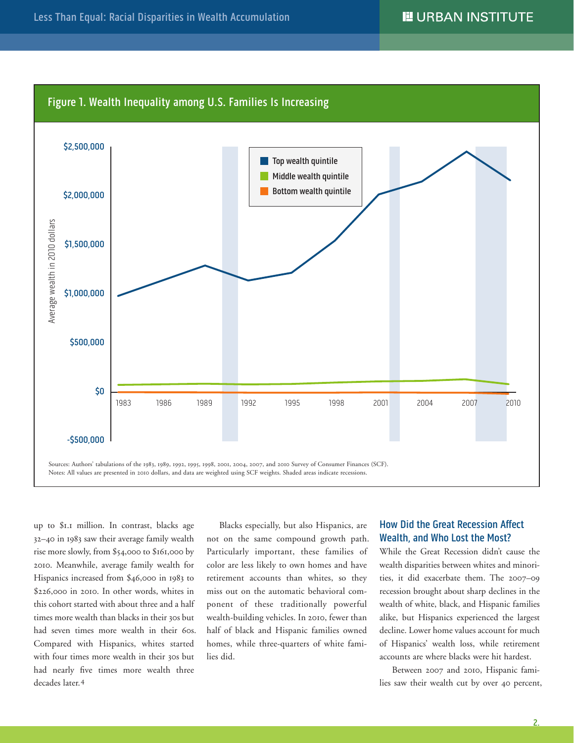

up to \$1.1 million. In contrast, blacks age 32–40 in 1983 saw their average family wealth rise more slowly, from \$54,000 to \$161,000 by 2010. Meanwhile, average family wealth for Hispanics increased from \$46,000 in 1983 to \$226,000 in 2010. In other words, whites in this cohort started with about three and a half times more wealth than blacks in their 30s but had seven times more wealth in their 60s. Compared with Hispanics, whites started with four times more wealth in their 30s but had nearly five times more wealth three decades later.4

Blacks especially, but also Hispanics, are not on the same compound growth path. Particularly important, these families of color are less likely to own homes and have retirement accounts than whites, so they miss out on the automatic behavioral component of these traditionally powerful wealth-building vehicles. In 2010, fewer than half of black and Hispanic families owned homes, while three-quarters of white families did.

#### **How Did the Great Recession Affect Wealth, and Who Lost the Most?**

While the Great Recession didn't cause the wealth disparities between whites and minorities, it did exacerbate them. The 2007–09 recession brought about sharp declines in the wealth of white, black, and Hispanic families alike, but Hispanics experienced the largest decline. Lower home values account for much of Hispanics' wealth loss, while retirement accounts are where blacks were hit hardest.

Between 2007 and 2010, Hispanic families saw their wealth cut by over 40 percent,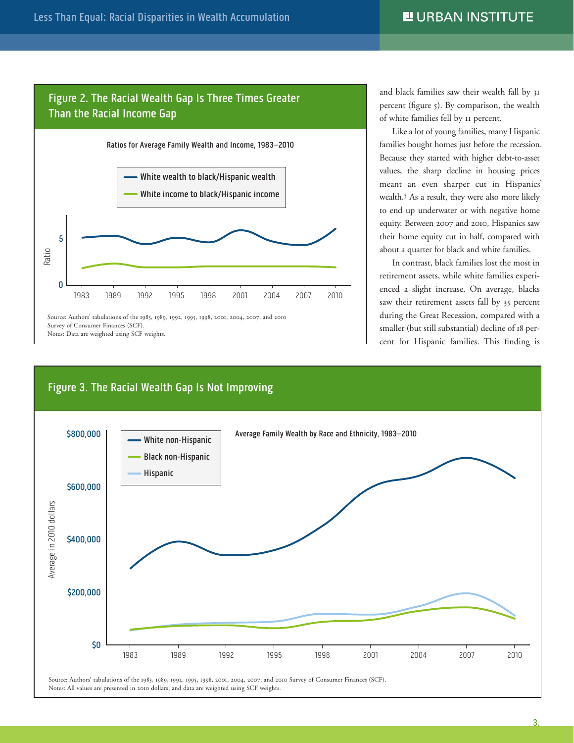## **Figure 2. The Racial Wealth Gap Is Three Times Greater Than the Racial Income Gap**



and black families saw their wealth fall by 31 percent (figure 5). By comparison, the wealth of white families fell by 11 percent.

Like a lot of young families, many Hispanic families bought homes just before the recession. Because they started with higher debt-to-asset values, the sharp decline in housing prices meant an even sharper cut in Hispanics' wealth. 5 As a result, they were also more likely to end up underwater or with negative home equity. Between 2007 and 2010, Hispanics saw their home equity cut in half, compared with about a quarter for black and white families.

In contrast, black families lost the most in retirement assets, while white families experienced a slight increase. On average, blacks saw their retirement assets fall by 35 percent during the Great Recession, compared with a smaller (but still substantial) decline of 18 percent for Hispanic families. This finding is



Source: Authors' tabulations of the 1983, 1989, 1992, 1995, 1998, 2001, 2004, 2007, and 2010 Survey of Consumer Finances (SCF). Notes: All values are presented in 2010 dollars, and data are weighted using SCF weights.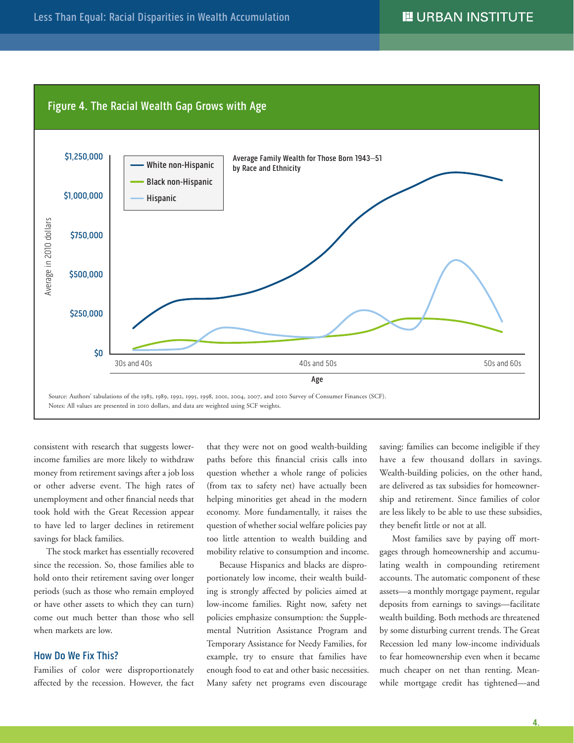#### **Figure 4. The Racial Wealth Gap Grows with Age**



consistent with research that suggests lowerincome families are more likely to withdraw money from retirement savings after a job loss or other adverse event. The high rates of unemployment and other financial needs that took hold with the Great Recession appear to have led to larger declines in retirement savings for black families.

The stock market has essentially recovered since the recession. So, those families able to hold onto their retirement saving over longer periods (such as those who remain employed or have other assets to which they can turn) come out much better than those who sell when markets are low.

### **How Do We Fix This?**

Families of color were disproportionately affected by the recession. However, the fact that they were not on good wealth-building paths before this financial crisis calls into question whether a whole range of policies (from tax to safety net) have actually been helping minorities get ahead in the modern economy. More fundamentally, it raises the question of whether social welfare policies pay too little attention to wealth building and mobility relative to consumption and income.

Because Hispanics and blacks are disproportionately low income, their wealth building is strongly affected by policies aimed at low-income families. Right now, safety net policies emphasize consumption: the Supplemental Nutrition Assistance Program and Temporary Assistance for Needy Families, for example, try to ensure that families have enough food to eat and other basic necessities. Many safety net programs even discourage

saving: families can become ineligible if they have a few thousand dollars in savings. Wealth-building policies, on the other hand, are delivered as tax subsidies for homeownership and retirement. Since families of color are less likely to be able to use these subsidies, they benefit little or not at all.

Most families save by paying off mortgages through homeownership and accumulating wealth in compounding retirement accounts. The automatic component of these assets—a monthly mortgage payment, regular deposits from earnings to savings—facilitate wealth building. Both methods are threatened by some disturbing current trends. The Great Recession led many low-income individuals to fear homeownership even when it became much cheaper on net than renting. Meanwhile mortgage credit has tightened—and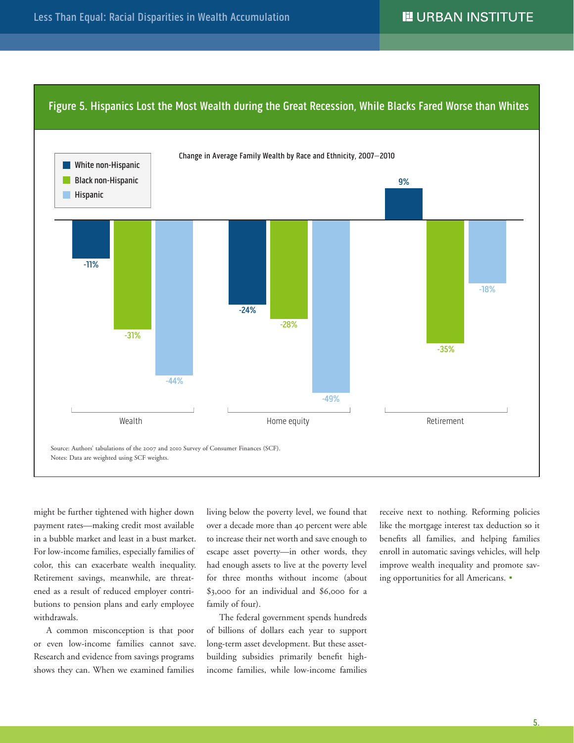

might be further tightened with higher down payment rates—making credit most available in a bubble market and least in a bust market. For low-income families, especially families of color, this can exacerbate wealth inequality. Retirement savings, meanwhile, are threatened as a result of reduced employer contributions to pension plans and early employee withdrawals.

A common misconception is that poor or even low-income families cannot save. Research and evidence from savings programs shows they can. When we examined families

living below the poverty level, we found that over a decade more than 40 percent were able to increase their net worth and save enough to escape asset poverty—in other words, they had enough assets to live at the poverty level for three months without income (about \$3,000 for an individual and \$6,000 for a family of four).

The federal government spends hundreds of billions of dollars each year to support long-term asset development. But these assetbuilding subsidies primarily benefit highincome families, while low-income families

receive next to nothing. Reforming policies like the mortgage interest tax deduction so it benefits all families, and helping families enroll in automatic savings vehicles, will help improve wealth inequality and promote saving opportunities for all Americans. •